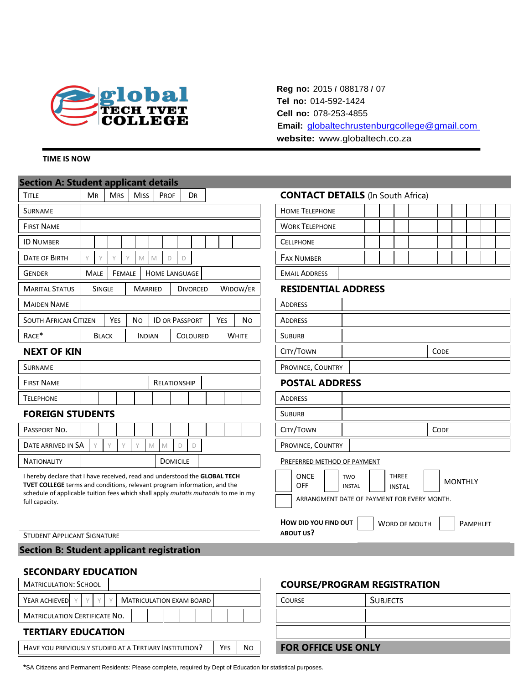

### **TIME IS NOW**

| <b>Section A: Student applicant details</b>                                                                                                                                                                                                                                  |                                                                      |                |                      |                 |          |                                                                                                                                                     |                                                                                     |  |  |  |  |  |  |  |  |
|------------------------------------------------------------------------------------------------------------------------------------------------------------------------------------------------------------------------------------------------------------------------------|----------------------------------------------------------------------|----------------|----------------------|-----------------|----------|-----------------------------------------------------------------------------------------------------------------------------------------------------|-------------------------------------------------------------------------------------|--|--|--|--|--|--|--|--|
| <b>TITLE</b>                                                                                                                                                                                                                                                                 | <b>MR</b><br><b>MRS</b>                                              | <b>MISS</b>    | <b>PROF</b>          | DR              |          |                                                                                                                                                     | <b>CONTACT DETAILS</b> (In South Africa)                                            |  |  |  |  |  |  |  |  |
| <b>SURNAME</b>                                                                                                                                                                                                                                                               |                                                                      |                |                      |                 |          |                                                                                                                                                     | <b>HOME TELEPHONE</b>                                                               |  |  |  |  |  |  |  |  |
| <b>FIRST NAME</b>                                                                                                                                                                                                                                                            |                                                                      |                |                      |                 |          |                                                                                                                                                     | <b>WORK TELEPHONE</b>                                                               |  |  |  |  |  |  |  |  |
| <b>ID NUMBER</b>                                                                                                                                                                                                                                                             |                                                                      |                |                      |                 |          |                                                                                                                                                     | <b>CELLPHONE</b>                                                                    |  |  |  |  |  |  |  |  |
| <b>DATE OF BIRTH</b>                                                                                                                                                                                                                                                         | Y<br>γ                                                               | Y<br>M         | M<br>D<br>D          |                 |          |                                                                                                                                                     | <b>FAX NUMBER</b>                                                                   |  |  |  |  |  |  |  |  |
| <b>GENDER</b>                                                                                                                                                                                                                                                                | <b>MALE</b><br>FEMALE                                                |                | <b>HOME LANGUAGE</b> |                 |          |                                                                                                                                                     | <b>EMAIL ADDRESS</b>                                                                |  |  |  |  |  |  |  |  |
| <b>MARITAL STATUS</b>                                                                                                                                                                                                                                                        | SINGLE                                                               | <b>MARRIED</b> |                      | <b>DIVORCED</b> | WIDOW/ER |                                                                                                                                                     | <b>RESIDENTIAL ADDRESS</b>                                                          |  |  |  |  |  |  |  |  |
| <b>MAIDEN NAME</b>                                                                                                                                                                                                                                                           |                                                                      |                |                      |                 |          |                                                                                                                                                     | <b>ADDRESS</b>                                                                      |  |  |  |  |  |  |  |  |
| <b>SOUTH AFRICAN CITIZEN</b>                                                                                                                                                                                                                                                 | <b>YES</b><br><b>ID OR PASSPORT</b><br><b>No</b><br>YES<br><b>No</b> |                |                      |                 |          |                                                                                                                                                     | <b>ADDRESS</b>                                                                      |  |  |  |  |  |  |  |  |
| RACE*                                                                                                                                                                                                                                                                        | <b>WHITE</b><br><b>BLACK</b><br><b>INDIAN</b><br><b>COLOURED</b>     |                |                      |                 |          |                                                                                                                                                     | <b>SUBURB</b>                                                                       |  |  |  |  |  |  |  |  |
| <b>NEXT OF KIN</b>                                                                                                                                                                                                                                                           |                                                                      |                |                      |                 |          |                                                                                                                                                     | CITY/TOWN<br><b>CODE</b>                                                            |  |  |  |  |  |  |  |  |
| <b>SURNAME</b>                                                                                                                                                                                                                                                               |                                                                      |                |                      |                 |          |                                                                                                                                                     | PROVINCE, COUNTRY                                                                   |  |  |  |  |  |  |  |  |
| <b>FIRST NAME</b>                                                                                                                                                                                                                                                            |                                                                      |                | RELATIONSHIP         |                 |          |                                                                                                                                                     | <b>POSTAL ADDRESS</b>                                                               |  |  |  |  |  |  |  |  |
| <b>TELEPHONE</b>                                                                                                                                                                                                                                                             |                                                                      |                |                      |                 |          |                                                                                                                                                     | ADDRESS                                                                             |  |  |  |  |  |  |  |  |
| <b>FOREIGN STUDENTS</b>                                                                                                                                                                                                                                                      |                                                                      |                |                      |                 |          |                                                                                                                                                     | <b>SUBURB</b>                                                                       |  |  |  |  |  |  |  |  |
| PASSPORT NO.                                                                                                                                                                                                                                                                 |                                                                      |                |                      |                 |          |                                                                                                                                                     | CITY/TOWN<br><b>CODE</b>                                                            |  |  |  |  |  |  |  |  |
| DATE ARRIVED IN SA                                                                                                                                                                                                                                                           | $\vee$<br>$\vee$<br>$\vee$                                           | M              | D<br>M               | D               |          |                                                                                                                                                     | PROVINCE, COUNTRY                                                                   |  |  |  |  |  |  |  |  |
| <b>NATIONALITY</b>                                                                                                                                                                                                                                                           |                                                                      |                | <b>DOMICILE</b>      |                 |          |                                                                                                                                                     | PREFERRED METHOD OF PAYMENT                                                         |  |  |  |  |  |  |  |  |
| I hereby declare that I have received, read and understood the GLOBAL TECH<br><b>TVET COLLEGE</b> terms and conditions, relevant program information, and the<br>schedule of applicable tuition fees which shall apply <i>mutatis mutandis</i> to me in my<br>full capacity. |                                                                      |                |                      |                 |          | <b>ONCE</b><br><b>THREE</b><br>TWO<br><b>MONTHLY</b><br><b>OFF</b><br><b>INSTAL</b><br><b>INSTAL</b><br>ARRANGMENT DATE OF PAYMENT FOR EVERY MONTH. |                                                                                     |  |  |  |  |  |  |  |  |
| <b>STUDENT APPLICANT SIGNATURE</b><br><b>Section B: Student applicant registration</b>                                                                                                                                                                                       |                                                                      |                |                      |                 |          |                                                                                                                                                     | HOW DID YOU FIND OUT<br><b>WORD OF MOUTH</b><br><b>PAMPHLET</b><br><b>ABOUT US?</b> |  |  |  |  |  |  |  |  |
|                                                                                                                                                                                                                                                                              |                                                                      |                |                      |                 |          |                                                                                                                                                     |                                                                                     |  |  |  |  |  |  |  |  |

**Reg no:** 2015 *I* 088178 *I* 07 **Tel no:** 014-592-1424 **Cell no:** 078-253-4855

**website:** www.globaltech.co.za

**Email:** globaltechrustenburgcollege@gmail.com

### **SECONDARY EDUCATION**

| <b>MATRICULATION: SCHOOL</b>                                         |                |                            | <b>COURSE/PROGRAM REGIST</b> |                 |
|----------------------------------------------------------------------|----------------|----------------------------|------------------------------|-----------------|
| YEAR ACHIEVED<br><b>MATRICULATION EXAM BOARD</b><br>$\vee$<br>$\vee$ |                |                            | <b>COURSE</b>                | <b>SUBJECTS</b> |
| <b>MATRICULATION CERTIFICATE NO.</b>                                 |                |                            |                              |                 |
| <b>TERTIARY EDUCATION</b>                                            |                |                            |                              |                 |
| HAVE YOU PREVIOUSLY STUDIED AT A TERTIARY INSTITUTION?<br>Yes        | N <sub>O</sub> | <b>FOR OFFICE USE ONLY</b> |                              |                 |

## **COURSE/PROGRAM REGISTRATION**

| <b>COURSE</b>              | <b>SUBJECTS</b> |  |  |  |  |
|----------------------------|-----------------|--|--|--|--|
|                            |                 |  |  |  |  |
|                            |                 |  |  |  |  |
| <b>FOR OFFICE USE ONLY</b> |                 |  |  |  |  |

**\***SA Citizens and Permanent Residents: Please complete, required by Dept of Education for statistical purposes.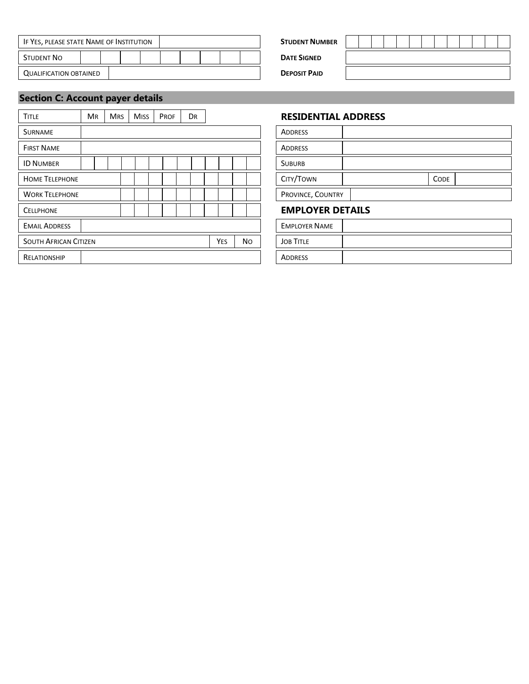| IF YES, PLEASE STATE NAME OF INSTITUTION |  |  |  | <b>STUDENT NUMBER</b> |  |                     |
|------------------------------------------|--|--|--|-----------------------|--|---------------------|
| Student No                               |  |  |  |                       |  | <b>DATE SIGNED</b>  |
| <b>QUALIFICATION OBTAINED</b>            |  |  |  |                       |  | <b>DEPOSIT PAID</b> |

| <b>DENT NUMBER</b>      |  |  |  |  |  |  |  |
|-------------------------|--|--|--|--|--|--|--|
| <b><i>TE SIGNED</i></b> |  |  |  |  |  |  |  |
| OSIT PAID               |  |  |  |  |  |  |  |

# **Section C: Account payer details**

| <b>TITLE</b>                 | <b>MR</b> | <b>MRS</b> | <b>MISS</b> | PROF | <b>DR</b>  |     |                  | <b>RESIDENTIAL ADDRESS</b> |      |
|------------------------------|-----------|------------|-------------|------|------------|-----|------------------|----------------------------|------|
| <b>SURNAME</b>               |           |            |             |      |            |     |                  | <b>ADDRESS</b>             |      |
| <b>FIRST NAME</b>            |           |            |             |      |            |     |                  | <b>ADDRESS</b>             |      |
| <b>ID NUMBER</b>             |           |            |             |      |            |     |                  | <b>SUBURB</b>              |      |
| <b>HOME TELEPHONE</b>        |           |            |             |      |            |     |                  | CITY/TOWN                  | CODE |
| <b>WORK TELEPHONE</b>        |           |            |             |      |            |     |                  | PROVINCE, COUNTRY          |      |
| <b>CELLPHONE</b>             |           |            |             |      |            |     |                  | <b>EMPLOYER DETAILS</b>    |      |
| <b>EMAIL ADDRESS</b>         |           |            |             |      |            |     |                  | <b>EMPLOYER NAME</b>       |      |
| <b>SOUTH AFRICAN CITIZEN</b> |           |            |             |      | <b>YES</b> | No. | <b>JOB TITLE</b> |                            |      |
| <b>RELATIONSHIP</b>          |           |            |             |      |            |     |                  | <b>ADDRESS</b>             |      |

### **RESIDENTIAL ADDRESS**

| <b>ADDRESS</b>    |             |
|-------------------|-------------|
| <b>ADDRESS</b>    |             |
| <b>SUBURB</b>     |             |
| CITY/TOWN         | <b>CODE</b> |
| PROVINCE, COUNTRY |             |

### **EMPLOYER DETAILS**

| <b>EMPLOYER NAME</b> |  |
|----------------------|--|
| <b>JOB TITLE</b>     |  |
| <b>ADDRESS</b>       |  |